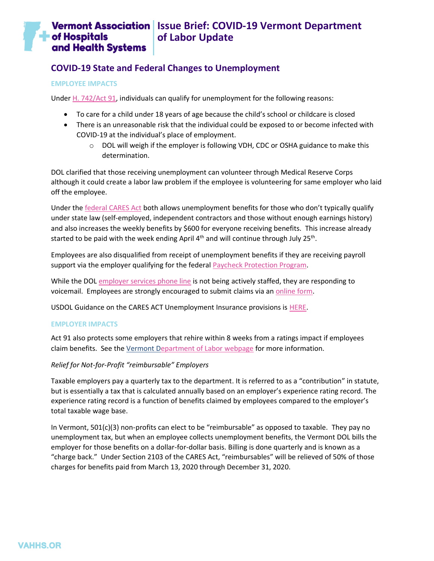#### **Vermont Association** Issue Brief: COVID-19 Vermont Department **of Hospitals of Labor Update** and Health Systems

# **COVID-19 State and Federal Changes to Unemployment**

#### **EMPLOYEE IMPACTS**

Under [H. 742/Act 91,](https://legislature.vermont.gov/Documents/2020/Docs/ACTS/ACT091/ACT091%20As%20Enacted.pdf) individuals can qualify for unemployment for the following reasons:

- To care for a child under 18 years of age because the child's school or childcare is closed
- There is an unreasonable risk that the individual could be exposed to or become infected with COVID-19 at the individual's place of employment.
	- $\circ$  DOL will weigh if the employer is following VDH, CDC or OSHA guidance to make this determination.

DOL clarified that those receiving unemployment can volunteer through Medical Reserve Corps although it could create a labor law problem if the employee is volunteering for same employer who laid off the employee.

Under the [federal CARES Act](https://labor.vermont.gov/CARESact_Vermont) both allows unemployment benefits for those who don't typically qualify under state law (self-employed, independent contractors and those without enough earnings history) and also increases the weekly benefits by \$600 for everyone receiving benefits. This increase already started to be paid with the week ending April 4<sup>th</sup> and will continue through July 25<sup>th</sup>.

Employees are also disqualified from receipt of unemployment benefits if they are receiving payroll support via the employer qualifying for the federal [Paycheck Protection Program.](https://www.sba.gov/funding-programs/loans/coronavirus-relief-options/paycheck-protection-program-ppp)

While the DOL [employer services phone line](https://labor.vermont.gov/unemployment-insurance/contact-ui) is not being actively staffed, they are responding to voicemail. Employees are strongly encouraged to submit claims via an [online form.](https://vermont.force.com/DOLClaim/s/)

USDOL Guidance on the CARES ACT Unemployment Insurance provisions is [HERE.](https://wdr.doleta.gov/directives/attach/UIPL/UIPL_14-20.pdf)

## **EMPLOYER IMPACTS**

Act 91 also protects some employers that rehire within 8 weeks from a ratings impact if employees claim benefits. See the [Vermont Department of Labor webpage](https://labor.vermont.gov/covid19/employers) for more information.

## *Relief for Not-for-Profit "reimbursable" Employers*

Taxable employers pay a quarterly tax to the department. It is referred to as a "contribution" in statute, but is essentially a tax that is calculated annually based on an employer's experience rating record. The experience rating record is a function of benefits claimed by employees compared to the employer's total taxable wage base.

In Vermont, 501(c)(3) non-profits can elect to be "reimbursable" as opposed to taxable. They pay no unemployment tax, but when an employee collects unemployment benefits, the Vermont DOL bills the employer for those benefits on a dollar-for-dollar basis. Billing is done quarterly and is known as a "charge back." Under Section 2103 of the CARES Act, "reimbursables" will be relieved of 50% of those charges for benefits paid from March 13, 2020 through December 31, 2020.